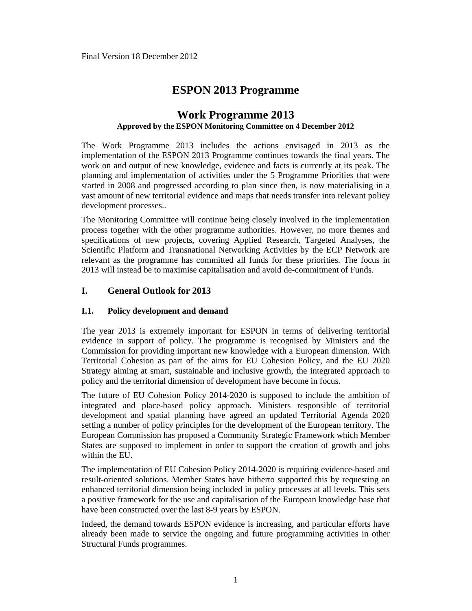# **ESPON 2013 Programme**

# **Work Programme 2013 Approved by the ESPON Monitoring Committee on 4 December 2012**

The Work Programme 2013 includes the actions envisaged in 2013 as the implementation of the ESPON 2013 Programme continues towards the final years. The work on and output of new knowledge, evidence and facts is currently at its peak. The planning and implementation of activities under the 5 Programme Priorities that were started in 2008 and progressed according to plan since then, is now materialising in a vast amount of new territorial evidence and maps that needs transfer into relevant policy development processes..

The Monitoring Committee will continue being closely involved in the implementation process together with the other programme authorities. However, no more themes and specifications of new projects, covering Applied Research, Targeted Analyses, the Scientific Platform and Transnational Networking Activities by the ECP Network are relevant as the programme has committed all funds for these priorities. The focus in 2013 will instead be to maximise capitalisation and avoid de-commitment of Funds.

## **I. General Outlook for 2013**

### **I.1. Policy development and demand**

The year 2013 is extremely important for ESPON in terms of delivering territorial evidence in support of policy. The programme is recognised by Ministers and the Commission for providing important new knowledge with a European dimension. With Territorial Cohesion as part of the aims for EU Cohesion Policy, and the EU 2020 Strategy aiming at smart, sustainable and inclusive growth, the integrated approach to policy and the territorial dimension of development have become in focus.

The future of EU Cohesion Policy 2014-2020 is supposed to include the ambition of integrated and place-based policy approach. Ministers responsible of territorial development and spatial planning have agreed an updated Territorial Agenda 2020 setting a number of policy principles for the development of the European territory. The European Commission has proposed a Community Strategic Framework which Member States are supposed to implement in order to support the creation of growth and jobs within the EU.

The implementation of EU Cohesion Policy 2014-2020 is requiring evidence-based and result-oriented solutions. Member States have hitherto supported this by requesting an enhanced territorial dimension being included in policy processes at all levels. This sets a positive framework for the use and capitalisation of the European knowledge base that have been constructed over the last 8-9 years by ESPON.

Indeed, the demand towards ESPON evidence is increasing, and particular efforts have already been made to service the ongoing and future programming activities in other Structural Funds programmes.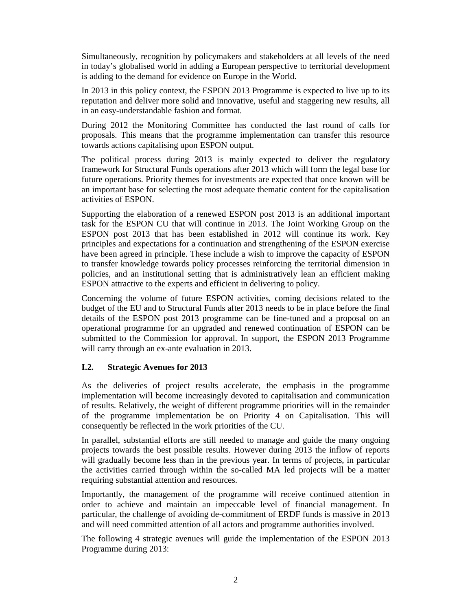Simultaneously, recognition by policymakers and stakeholders at all levels of the need in today's globalised world in adding a European perspective to territorial development is adding to the demand for evidence on Europe in the World.

In 2013 in this policy context, the ESPON 2013 Programme is expected to live up to its reputation and deliver more solid and innovative, useful and staggering new results, all in an easy-understandable fashion and format.

During 2012 the Monitoring Committee has conducted the last round of calls for proposals. This means that the programme implementation can transfer this resource towards actions capitalising upon ESPON output.

The political process during 2013 is mainly expected to deliver the regulatory framework for Structural Funds operations after 2013 which will form the legal base for future operations. Priority themes for investments are expected that once known will be an important base for selecting the most adequate thematic content for the capitalisation activities of ESPON.

Supporting the elaboration of a renewed ESPON post 2013 is an additional important task for the ESPON CU that will continue in 2013. The Joint Working Group on the ESPON post 2013 that has been established in 2012 will continue its work. Key principles and expectations for a continuation and strengthening of the ESPON exercise have been agreed in principle. These include a wish to improve the capacity of ESPON to transfer knowledge towards policy processes reinforcing the territorial dimension in policies, and an institutional setting that is administratively lean an efficient making ESPON attractive to the experts and efficient in delivering to policy.

Concerning the volume of future ESPON activities, coming decisions related to the budget of the EU and to Structural Funds after 2013 needs to be in place before the final details of the ESPON post 2013 programme can be fine-tuned and a proposal on an operational programme for an upgraded and renewed continuation of ESPON can be submitted to the Commission for approval. In support, the ESPON 2013 Programme will carry through an ex-ante evaluation in 2013.

### **I.2. Strategic Avenues for 2013**

As the deliveries of project results accelerate, the emphasis in the programme implementation will become increasingly devoted to capitalisation and communication of results. Relatively, the weight of different programme priorities will in the remainder of the programme implementation be on Priority 4 on Capitalisation. This will consequently be reflected in the work priorities of the CU.

In parallel, substantial efforts are still needed to manage and guide the many ongoing projects towards the best possible results. However during 2013 the inflow of reports will gradually become less than in the previous year. In terms of projects, in particular the activities carried through within the so-called MA led projects will be a matter requiring substantial attention and resources.

Importantly, the management of the programme will receive continued attention in order to achieve and maintain an impeccable level of financial management. In particular, the challenge of avoiding de-commitment of ERDF funds is massive in 2013 and will need committed attention of all actors and programme authorities involved.

The following 4 strategic avenues will guide the implementation of the ESPON 2013 Programme during 2013: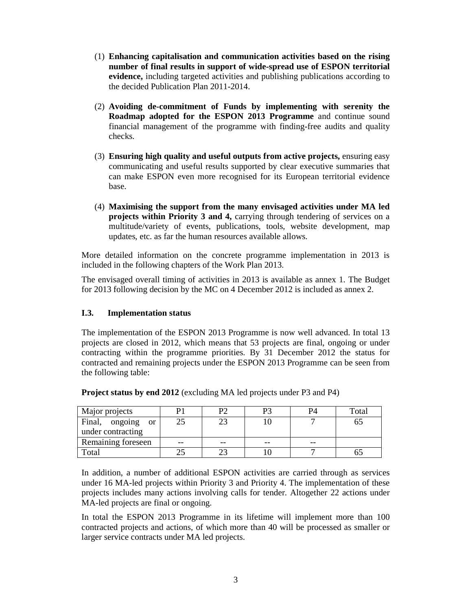- (1) **Enhancing capitalisation and communication activities based on the rising number of final results in support of wide-spread use of ESPON territorial evidence,** including targeted activities and publishing publications according to the decided Publication Plan 2011-2014.
- (2) **Avoiding de-commitment of Funds by implementing with serenity the Roadmap adopted for the ESPON 2013 Programme** and continue sound financial management of the programme with finding-free audits and quality checks.
- (3) **Ensuring high quality and useful outputs from active projects,** ensuring easy communicating and useful results supported by clear executive summaries that can make ESPON even more recognised for its European territorial evidence base.
- (4) **Maximising the support from the many envisaged activities under MA led projects within Priority 3 and 4,** carrying through tendering of services on a multitude/variety of events, publications, tools, website development, map updates, etc. as far the human resources available allows.

More detailed information on the concrete programme implementation in 2013 is included in the following chapters of the Work Plan 2013.

The envisaged overall timing of activities in 2013 is available as annex 1. The Budget for 2013 following decision by the MC on 4 December 2012 is included as annex 2.

### **I.3. Implementation status**

The implementation of the ESPON 2013 Programme is now well advanced. In total 13 projects are closed in 2012, which means that 53 projects are final, ongoing or under contracting within the programme priorities. By 31 December 2012 the status for contracted and remaining projects under the ESPON 2013 Programme can be seen from the following table:

| Major projects                  |       | P2 | P3 | P4 | Total |
|---------------------------------|-------|----|----|----|-------|
| Final, ongoing<br><sub>or</sub> |       |    |    |    |       |
| under contracting               |       |    |    |    |       |
| Remaining foreseen              | $- -$ | -- | -- | -- |       |
| Total                           |       |    |    |    |       |

**Project status by end 2012** (excluding MA led projects under P3 and P4)

In addition, a number of additional ESPON activities are carried through as services under 16 MA-led projects within Priority 3 and Priority 4. The implementation of these projects includes many actions involving calls for tender. Altogether 22 actions under MA-led projects are final or ongoing.

In total the ESPON 2013 Programme in its lifetime will implement more than 100 contracted projects and actions, of which more than 40 will be processed as smaller or larger service contracts under MA led projects.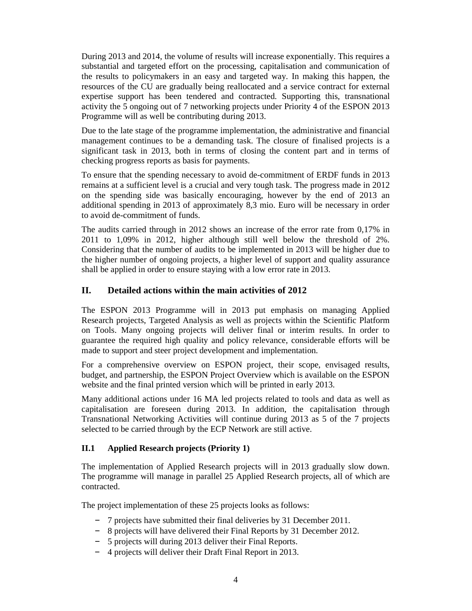During 2013 and 2014, the volume of results will increase exponentially. This requires a substantial and targeted effort on the processing, capitalisation and communication of the results to policymakers in an easy and targeted way. In making this happen, the resources of the CU are gradually being reallocated and a service contract for external expertise support has been tendered and contracted. Supporting this, transnational activity the 5 ongoing out of 7 networking projects under Priority 4 of the ESPON 2013 Programme will as well be contributing during 2013.

Due to the late stage of the programme implementation, the administrative and financial management continues to be a demanding task. The closure of finalised projects is a significant task in 2013, both in terms of closing the content part and in terms of checking progress reports as basis for payments.

To ensure that the spending necessary to avoid de-commitment of ERDF funds in 2013 remains at a sufficient level is a crucial and very tough task. The progress made in 2012 on the spending side was basically encouraging, however by the end of 2013 an additional spending in 2013 of approximately 8,3 mio. Euro will be necessary in order to avoid de-commitment of funds.

The audits carried through in 2012 shows an increase of the error rate from 0,17% in 2011 to 1,09% in 2012, higher although still well below the threshold of 2%. Considering that the number of audits to be implemented in 2013 will be higher due to the higher number of ongoing projects, a higher level of support and quality assurance shall be applied in order to ensure staying with a low error rate in 2013.

# **II. Detailed actions within the main activities of 2012**

The ESPON 2013 Programme will in 2013 put emphasis on managing Applied Research projects, Targeted Analysis as well as projects within the Scientific Platform on Tools. Many ongoing projects will deliver final or interim results. In order to guarantee the required high quality and policy relevance, considerable efforts will be made to support and steer project development and implementation.

For a comprehensive overview on ESPON project, their scope, envisaged results, budget, and partnership, the ESPON Project Overview which is available on the ESPON website and the final printed version which will be printed in early 2013.

Many additional actions under 16 MA led projects related to tools and data as well as capitalisation are foreseen during 2013. In addition, the capitalisation through Transnational Networking Activities will continue during 2013 as 5 of the 7 projects selected to be carried through by the ECP Network are still active.

### **II.1 Applied Research projects (Priority 1)**

The implementation of Applied Research projects will in 2013 gradually slow down. The programme will manage in parallel 25 Applied Research projects, all of which are contracted.

The project implementation of these 25 projects looks as follows:

- 7 projects have submitted their final deliveries by 31 December 2011.
- 8 projects will have delivered their Final Reports by 31 December 2012.
- 5 projects will during 2013 deliver their Final Reports.
- 4 projects will deliver their Draft Final Report in 2013.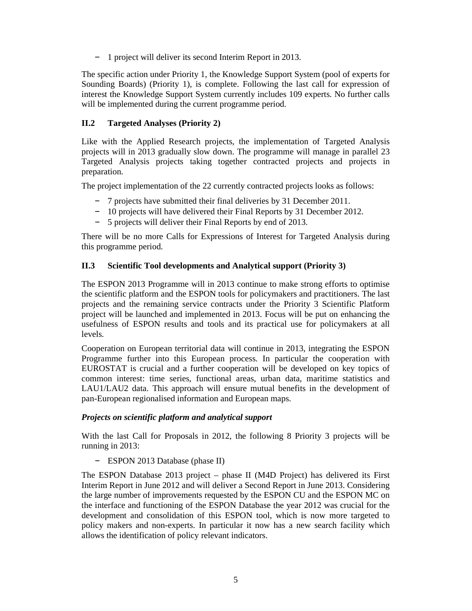– 1 project will deliver its second Interim Report in 2013.

The specific action under Priority 1, the Knowledge Support System (pool of experts for Sounding Boards) (Priority 1), is complete. Following the last call for expression of interest the Knowledge Support System currently includes 109 experts. No further calls will be implemented during the current programme period.

### **II.2 Targeted Analyses (Priority 2)**

Like with the Applied Research projects, the implementation of Targeted Analysis projects will in 2013 gradually slow down. The programme will manage in parallel 23 Targeted Analysis projects taking together contracted projects and projects in preparation.

The project implementation of the 22 currently contracted projects looks as follows:

- 7 projects have submitted their final deliveries by 31 December 2011.
- 10 projects will have delivered their Final Reports by 31 December 2012.
- 5 projects will deliver their Final Reports by end of 2013.

There will be no more Calls for Expressions of Interest for Targeted Analysis during this programme period.

### **II.3 Scientific Tool developments and Analytical support (Priority 3)**

The ESPON 2013 Programme will in 2013 continue to make strong efforts to optimise the scientific platform and the ESPON tools for policymakers and practitioners. The last projects and the remaining service contracts under the Priority 3 Scientific Platform project will be launched and implemented in 2013. Focus will be put on enhancing the usefulness of ESPON results and tools and its practical use for policymakers at all levels.

Cooperation on European territorial data will continue in 2013, integrating the ESPON Programme further into this European process. In particular the cooperation with EUROSTAT is crucial and a further cooperation will be developed on key topics of common interest: time series, functional areas, urban data, maritime statistics and LAU1/LAU2 data. This approach will ensure mutual benefits in the development of pan-European regionalised information and European maps.

### *Projects on scientific platform and analytical support*

With the last Call for Proposals in 2012, the following 8 Priority 3 projects will be running in 2013:

– ESPON 2013 Database (phase II)

The ESPON Database 2013 project – phase II (M4D Project) has delivered its First Interim Report in June 2012 and will deliver a Second Report in June 2013. Considering the large number of improvements requested by the ESPON CU and the ESPON MC on the interface and functioning of the ESPON Database the year 2012 was crucial for the development and consolidation of this ESPON tool, which is now more targeted to policy makers and non-experts. In particular it now has a new search facility which allows the identification of policy relevant indicators.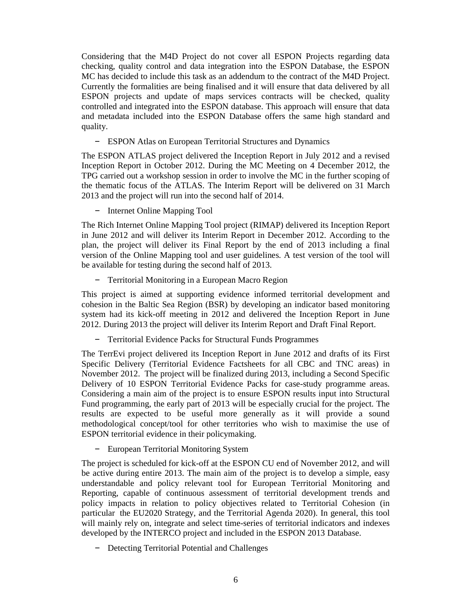Considering that the M4D Project do not cover all ESPON Projects regarding data checking, quality control and data integration into the ESPON Database, the ESPON MC has decided to include this task as an addendum to the contract of the M4D Project. Currently the formalities are being finalised and it will ensure that data delivered by all ESPON projects and update of maps services contracts will be checked, quality controlled and integrated into the ESPON database. This approach will ensure that data and metadata included into the ESPON Database offers the same high standard and quality.

– ESPON Atlas on European Territorial Structures and Dynamics

The ESPON ATLAS project delivered the Inception Report in July 2012 and a revised Inception Report in October 2012. During the MC Meeting on 4 December 2012, the TPG carried out a workshop session in order to involve the MC in the further scoping of the thematic focus of the ATLAS. The Interim Report will be delivered on 31 March 2013 and the project will run into the second half of 2014.

– Internet Online Mapping Tool

The Rich Internet Online Mapping Tool project (RIMAP) delivered its Inception Report in June 2012 and will deliver its Interim Report in December 2012. According to the plan, the project will deliver its Final Report by the end of 2013 including a final version of the Online Mapping tool and user guidelines. A test version of the tool will be available for testing during the second half of 2013.

– Territorial Monitoring in a European Macro Region

This project is aimed at supporting evidence informed territorial development and cohesion in the Baltic Sea Region (BSR) by developing an indicator based monitoring system had its kick-off meeting in 2012 and delivered the Inception Report in June 2012. During 2013 the project will deliver its Interim Report and Draft Final Report.

– Territorial Evidence Packs for Structural Funds Programmes

The TerrEvi project delivered its Inception Report in June 2012 and drafts of its First Specific Delivery (Territorial Evidence Factsheets for all CBC and TNC areas) in November 2012. The project will be finalized during 2013, including a Second Specific Delivery of 10 ESPON Territorial Evidence Packs for case-study programme areas. Considering a main aim of the project is to ensure ESPON results input into Structural Fund programming, the early part of 2013 will be especially crucial for the project. The results are expected to be useful more generally as it will provide a sound methodological concept/tool for other territories who wish to maximise the use of ESPON territorial evidence in their policymaking.

– European Territorial Monitoring System

The project is scheduled for kick-off at the ESPON CU end of November 2012, and will be active during entire 2013. The main aim of the project is to develop a simple, easy understandable and policy relevant tool for European Territorial Monitoring and Reporting, capable of continuous assessment of territorial development trends and policy impacts in relation to policy objectives related to Territorial Cohesion (in particular the EU2020 Strategy, and the Territorial Agenda 2020). In general, this tool will mainly rely on, integrate and select time-series of territorial indicators and indexes developed by the INTERCO project and included in the ESPON 2013 Database.

– Detecting Territorial Potential and Challenges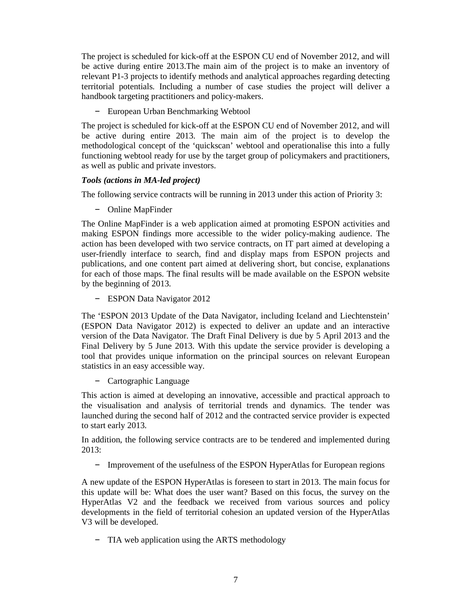The project is scheduled for kick-off at the ESPON CU end of November 2012, and will be active during entire 2013.The main aim of the project is to make an inventory of relevant P1-3 projects to identify methods and analytical approaches regarding detecting territorial potentials. Including a number of case studies the project will deliver a handbook targeting practitioners and policy-makers.

– European Urban Benchmarking Webtool

The project is scheduled for kick-off at the ESPON CU end of November 2012, and will be active during entire 2013. The main aim of the project is to develop the methodological concept of the 'quickscan' webtool and operationalise this into a fully functioning webtool ready for use by the target group of policymakers and practitioners, as well as public and private investors.

### *Tools (actions in MA-led project)*

The following service contracts will be running in 2013 under this action of Priority 3:

– Online MapFinder

The Online MapFinder is a web application aimed at promoting ESPON activities and making ESPON findings more accessible to the wider policy-making audience. The action has been developed with two service contracts, on IT part aimed at developing a user-friendly interface to search, find and display maps from ESPON projects and publications, and one content part aimed at delivering short, but concise, explanations for each of those maps. The final results will be made available on the ESPON website by the beginning of 2013.

– ESPON Data Navigator 2012

The 'ESPON 2013 Update of the Data Navigator, including Iceland and Liechtenstein' (ESPON Data Navigator 2012) is expected to deliver an update and an interactive version of the Data Navigator. The Draft Final Delivery is due by 5 April 2013 and the Final Delivery by 5 June 2013. With this update the service provider is developing a tool that provides unique information on the principal sources on relevant European statistics in an easy accessible way.

– Cartographic Language

This action is aimed at developing an innovative, accessible and practical approach to the visualisation and analysis of territorial trends and dynamics. The tender was launched during the second half of 2012 and the contracted service provider is expected to start early 2013.

In addition, the following service contracts are to be tendered and implemented during 2013:

– Improvement of the usefulness of the ESPON HyperAtlas for European regions

A new update of the ESPON HyperAtlas is foreseen to start in 2013. The main focus for this update will be: What does the user want? Based on this focus, the survey on the HyperAtlas V2 and the feedback we received from various sources and policy developments in the field of territorial cohesion an updated version of the HyperAtlas V3 will be developed.

– TIA web application using the ARTS methodology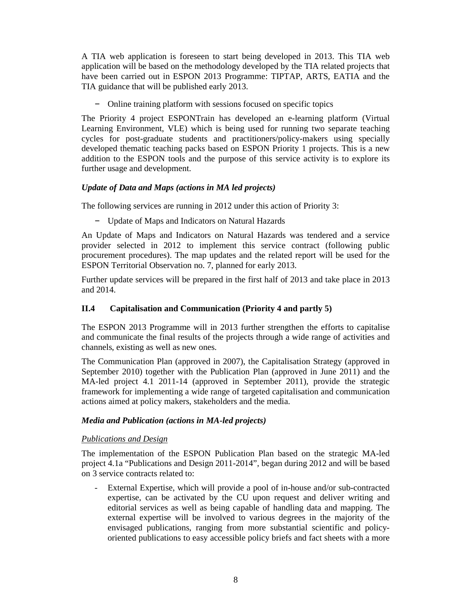A TIA web application is foreseen to start being developed in 2013. This TIA web application will be based on the methodology developed by the TIA related projects that have been carried out in ESPON 2013 Programme: TIPTAP, ARTS, EATIA and the TIA guidance that will be published early 2013.

– Online training platform with sessions focused on specific topics

The Priority 4 project ESPONTrain has developed an e-learning platform (Virtual Learning Environment, VLE) which is being used for running two separate teaching cycles for post-graduate students and practitioners/policy-makers using specially developed thematic teaching packs based on ESPON Priority 1 projects. This is a new addition to the ESPON tools and the purpose of this service activity is to explore its further usage and development.

### *Update of Data and Maps (actions in MA led projects)*

The following services are running in 2012 under this action of Priority 3:

– Update of Maps and Indicators on Natural Hazards

An Update of Maps and Indicators on Natural Hazards was tendered and a service provider selected in 2012 to implement this service contract (following public procurement procedures). The map updates and the related report will be used for the ESPON Territorial Observation no. 7, planned for early 2013.

Further update services will be prepared in the first half of 2013 and take place in 2013 and 2014.

# **II.4 Capitalisation and Communication (Priority 4 and partly 5)**

The ESPON 2013 Programme will in 2013 further strengthen the efforts to capitalise and communicate the final results of the projects through a wide range of activities and channels, existing as well as new ones.

The Communication Plan (approved in 2007), the Capitalisation Strategy (approved in September 2010) together with the Publication Plan (approved in June 2011) and the MA-led project 4.1 2011-14 (approved in September 2011), provide the strategic framework for implementing a wide range of targeted capitalisation and communication actions aimed at policy makers, stakeholders and the media.

### *Media and Publication (actions in MA-led projects)*

### *Publications and Design*

The implementation of the ESPON Publication Plan based on the strategic MA-led project 4.1a "Publications and Design 2011-2014", began during 2012 and will be based on 3 service contracts related to:

External Expertise, which will provide a pool of in-house and/or sub-contracted expertise, can be activated by the CU upon request and deliver writing and editorial services as well as being capable of handling data and mapping. The external expertise will be involved to various degrees in the majority of the envisaged publications, ranging from more substantial scientific and policyoriented publications to easy accessible policy briefs and fact sheets with a more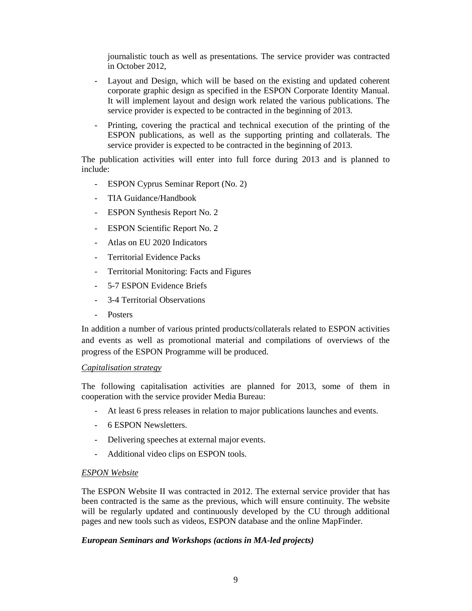journalistic touch as well as presentations. The service provider was contracted in October 2012,

- Layout and Design, which will be based on the existing and updated coherent corporate graphic design as specified in the ESPON Corporate Identity Manual. It will implement layout and design work related the various publications. The service provider is expected to be contracted in the beginning of 2013.
- Printing, covering the practical and technical execution of the printing of the ESPON publications, as well as the supporting printing and collaterals. The service provider is expected to be contracted in the beginning of 2013.

The publication activities will enter into full force during 2013 and is planned to include:

- ESPON Cyprus Seminar Report (No. 2)
- TIA Guidance/Handbook
- ESPON Synthesis Report No. 2
- ESPON Scientific Report No. 2
- Atlas on EU 2020 Indicators
- Territorial Evidence Packs
- Territorial Monitoring: Facts and Figures
- 5-7 ESPON Evidence Briefs
- 3-4 Territorial Observations
- Posters

In addition a number of various printed products/collaterals related to ESPON activities and events as well as promotional material and compilations of overviews of the progress of the ESPON Programme will be produced.

#### *Capitalisation strategy*

The following capitalisation activities are planned for 2013, some of them in cooperation with the service provider Media Bureau:

- At least 6 press releases in relation to major publications launches and events.
- 6 ESPON Newsletters.
- Delivering speeches at external major events.
- Additional video clips on ESPON tools.

#### *ESPON Website*

The ESPON Website II was contracted in 2012. The external service provider that has been contracted is the same as the previous, which will ensure continuity. The website will be regularly updated and continuously developed by the CU through additional pages and new tools such as videos, ESPON database and the online MapFinder.

#### *European Seminars and Workshops (actions in MA-led projects)*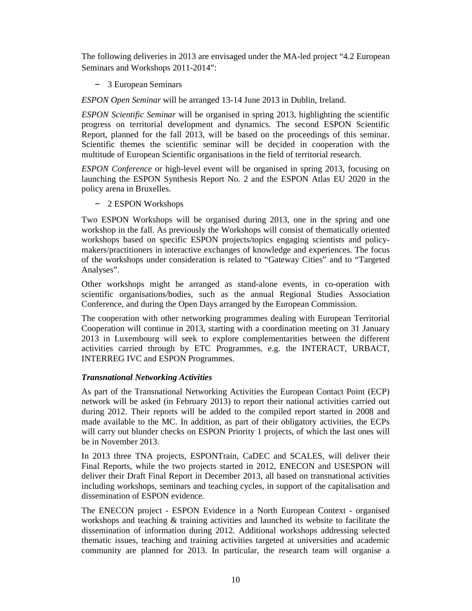The following deliveries in 2013 are envisaged under the MA-led project "4.2 European Seminars and Workshops 2011-2014":

– 3 European Seminars

*ESPON Open Seminar* will be arranged 13-14 June 2013 in Dublin, Ireland.

*ESPON Scientific Seminar* will be organised in spring 2013, highlighting the scientific progress on territorial development and dynamics. The second ESPON Scientific Report, planned for the fall 2013, will be based on the proceedings of this seminar. Scientific themes the scientific seminar will be decided in cooperation with the multitude of European Scientific organisations in the field of territorial research.

*ESPON Conference* or high-level event will be organised in spring 2013, focusing on launching the ESPON Synthesis Report No. 2 and the ESPON Atlas EU 2020 in the policy arena in Bruxelles.

– 2 ESPON Workshops

Two ESPON Workshops will be organised during 2013, one in the spring and one workshop in the fall. As previously the Workshops will consist of thematically oriented workshops based on specific ESPON projects/topics engaging scientists and policymakers/practitioners in interactive exchanges of knowledge and experiences. The focus of the workshops under consideration is related to "Gateway Cities" and to "Targeted Analyses".

Other workshops might be arranged as stand-alone events, in co-operation with scientific organisations/bodies, such as the annual Regional Studies Association Conference, and during the Open Days arranged by the European Commission.

The cooperation with other networking programmes dealing with European Territorial Cooperation will continue in 2013, starting with a coordination meeting on 31 January 2013 in Luxembourg will seek to explore complementarities between the different activities carried through by ETC Programmes, e.g. the INTERACT, URBACT, INTERREG IVC and ESPON Programmes.

### *Transnational Networking Activities*

As part of the Transnational Networking Activities the European Contact Point (ECP) network will be asked (in February 2013) to report their national activities carried out during 2012. Their reports will be added to the compiled report started in 2008 and made available to the MC. In addition, as part of their obligatory activities, the ECPs will carry out blunder checks on ESPON Priority 1 projects, of which the last ones will be in November 2013.

In 2013 three TNA projects, ESPONTrain, CaDEC and SCALES, will deliver their Final Reports, while the two projects started in 2012, ENECON and USESPON will deliver their Draft Final Report in December 2013, all based on transnational activities including workshops, seminars and teaching cycles, in support of the capitalisation and dissemination of ESPON evidence.

The ENECON project - ESPON Evidence in a North European Context - organised workshops and teaching & training activities and launched its website to facilitate the dissemination of information during 2012. Additional workshops addressing selected thematic issues, teaching and training activities targeted at universities and academic community are planned for 2013. In particular, the research team will organise a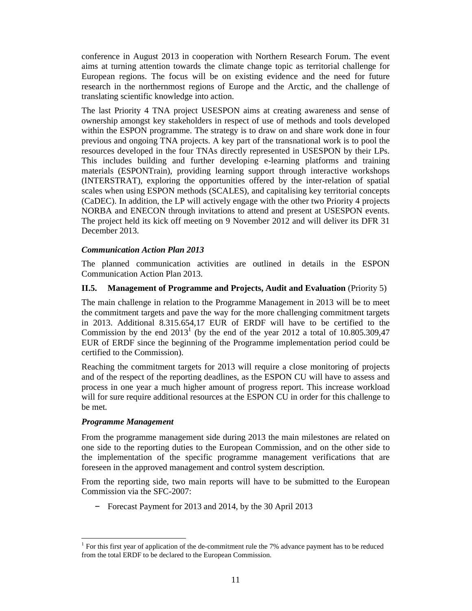conference in August 2013 in cooperation with Northern Research Forum. The event aims at turning attention towards the climate change topic as territorial challenge for European regions. The focus will be on existing evidence and the need for future research in the northernmost regions of Europe and the Arctic, and the challenge of translating scientific knowledge into action.

The last Priority 4 TNA project USESPON aims at creating awareness and sense of ownership amongst key stakeholders in respect of use of methods and tools developed within the ESPON programme. The strategy is to draw on and share work done in four previous and ongoing TNA projects. A key part of the transnational work is to pool the resources developed in the four TNAs directly represented in USESPON by their LPs. This includes building and further developing e-learning platforms and training materials (ESPONTrain), providing learning support through interactive workshops (INTERSTRAT), exploring the opportunities offered by the inter-relation of spatial scales when using ESPON methods (SCALES), and capitalising key territorial concepts (CaDEC). In addition, the LP will actively engage with the other two Priority 4 projects NORBA and ENECON through invitations to attend and present at USESPON events. The project held its kick off meeting on 9 November 2012 and will deliver its DFR 31 December 2013.

### *Communication Action Plan 2013*

The planned communication activities are outlined in details in the ESPON Communication Action Plan 2013.

### **II.5.** Management of Programme and Projects, Audit and Evaluation (Priority 5)

The main challenge in relation to the Programme Management in 2013 will be to meet the commitment targets and pave the way for the more challenging commitment targets in 2013. Additional 8.315.654,17 EUR of ERDF will have to be certified to the Commission by the end  $2013<sup>1</sup>$  (by the end of the year 2012 a total of 10.805.309,47 EUR of ERDF since the beginning of the Programme implementation period could be certified to the Commission).

Reaching the commitment targets for 2013 will require a close monitoring of projects and of the respect of the reporting deadlines, as the ESPON CU will have to assess and process in one year a much higher amount of progress report. This increase workload will for sure require additional resources at the ESPON CU in order for this challenge to be met.

### *Programme Management*

From the programme management side during 2013 the main milestones are related on one side to the reporting duties to the European Commission, and on the other side to the implementation of the specific programme management verifications that are foreseen in the approved management and control system description.

From the reporting side, two main reports will have to be submitted to the European Commission via the SFC-2007:

– Forecast Payment for 2013 and 2014, by the 30 April 2013

 $\overline{a}$ <sup>1</sup> For this first year of application of the de-commitment rule the 7% advance payment has to be reduced from the total ERDF to be declared to the European Commission.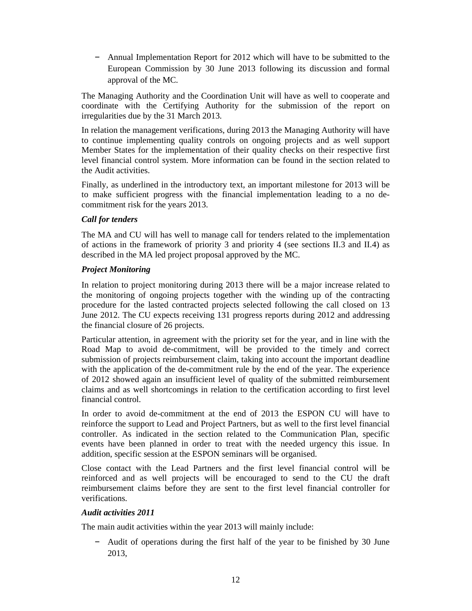– Annual Implementation Report for 2012 which will have to be submitted to the European Commission by 30 June 2013 following its discussion and formal approval of the MC.

The Managing Authority and the Coordination Unit will have as well to cooperate and coordinate with the Certifying Authority for the submission of the report on irregularities due by the 31 March 2013.

In relation the management verifications, during 2013 the Managing Authority will have to continue implementing quality controls on ongoing projects and as well support Member States for the implementation of their quality checks on their respective first level financial control system. More information can be found in the section related to the Audit activities.

Finally, as underlined in the introductory text, an important milestone for 2013 will be to make sufficient progress with the financial implementation leading to a no decommitment risk for the years 2013.

### *Call for tenders*

The MA and CU will has well to manage call for tenders related to the implementation of actions in the framework of priority 3 and priority 4 (see sections II.3 and II.4) as described in the MA led project proposal approved by the MC.

### *Project Monitoring*

In relation to project monitoring during 2013 there will be a major increase related to the monitoring of ongoing projects together with the winding up of the contracting procedure for the lasted contracted projects selected following the call closed on 13 June 2012. The CU expects receiving 131 progress reports during 2012 and addressing the financial closure of 26 projects.

Particular attention, in agreement with the priority set for the year, and in line with the Road Map to avoid de-commitment, will be provided to the timely and correct submission of projects reimbursement claim, taking into account the important deadline with the application of the de-commitment rule by the end of the year. The experience of 2012 showed again an insufficient level of quality of the submitted reimbursement claims and as well shortcomings in relation to the certification according to first level financial control.

In order to avoid de-commitment at the end of 2013 the ESPON CU will have to reinforce the support to Lead and Project Partners, but as well to the first level financial controller. As indicated in the section related to the Communication Plan, specific events have been planned in order to treat with the needed urgency this issue. In addition, specific session at the ESPON seminars will be organised.

Close contact with the Lead Partners and the first level financial control will be reinforced and as well projects will be encouraged to send to the CU the draft reimbursement claims before they are sent to the first level financial controller for verifications.

### *Audit activities 2011*

The main audit activities within the year 2013 will mainly include:

– Audit of operations during the first half of the year to be finished by 30 June 2013,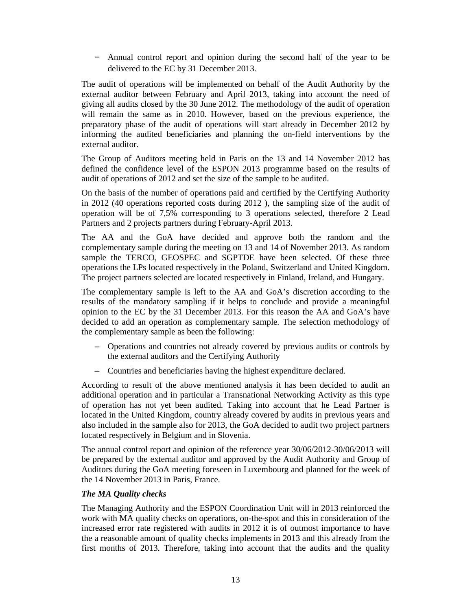– Annual control report and opinion during the second half of the year to be delivered to the EC by 31 December 2013.

The audit of operations will be implemented on behalf of the Audit Authority by the external auditor between February and April 2013, taking into account the need of giving all audits closed by the 30 June 2012. The methodology of the audit of operation will remain the same as in 2010. However, based on the previous experience, the preparatory phase of the audit of operations will start already in December 2012 by informing the audited beneficiaries and planning the on-field interventions by the external auditor.

The Group of Auditors meeting held in Paris on the 13 and 14 November 2012 has defined the confidence level of the ESPON 2013 programme based on the results of audit of operations of 2012 and set the size of the sample to be audited.

On the basis of the number of operations paid and certified by the Certifying Authority in 2012 (40 operations reported costs during 2012 ), the sampling size of the audit of operation will be of 7,5% corresponding to 3 operations selected, therefore 2 Lead Partners and 2 projects partners during February-April 2013.

The AA and the GoA have decided and approve both the random and the complementary sample during the meeting on 13 and 14 of November 2013. As random sample the TERCO, GEOSPEC and SGPTDE have been selected. Of these three operations the LPs located respectively in the Poland, Switzerland and United Kingdom. The project partners selected are located respectively in Finland, Ireland, and Hungary.

The complementary sample is left to the AA and GoA's discretion according to the results of the mandatory sampling if it helps to conclude and provide a meaningful opinion to the EC by the 31 December 2013. For this reason the AA and GoA's have decided to add an operation as complementary sample. The selection methodology of the complementary sample as been the following:

- Operations and countries not already covered by previous audits or controls by the external auditors and the Certifying Authority
- Countries and beneficiaries having the highest expenditure declared.

According to result of the above mentioned analysis it has been decided to audit an additional operation and in particular a Transnational Networking Activity as this type of operation has not yet been audited. Taking into account that he Lead Partner is located in the United Kingdom, country already covered by audits in previous years and also included in the sample also for 2013, the GoA decided to audit two project partners located respectively in Belgium and in Slovenia.

The annual control report and opinion of the reference year 30/06/2012-30/06/2013 will be prepared by the external auditor and approved by the Audit Authority and Group of Auditors during the GoA meeting foreseen in Luxembourg and planned for the week of the 14 November 2013 in Paris, France.

### *The MA Quality checks*

The Managing Authority and the ESPON Coordination Unit will in 2013 reinforced the work with MA quality checks on operations, on-the-spot and this in consideration of the increased error rate registered with audits in 2012 it is of outmost importance to have the a reasonable amount of quality checks implements in 2013 and this already from the first months of 2013. Therefore, taking into account that the audits and the quality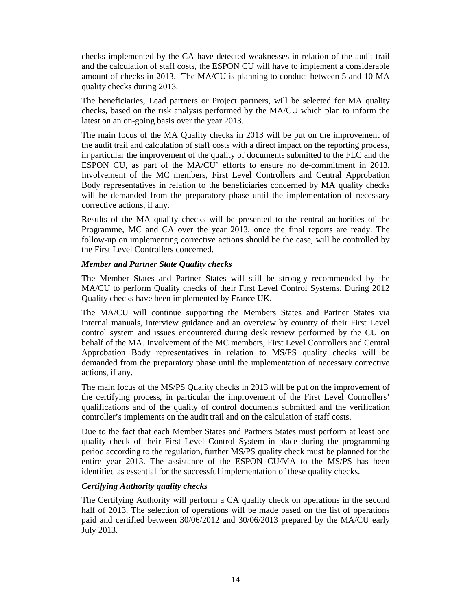checks implemented by the CA have detected weaknesses in relation of the audit trail and the calculation of staff costs, the ESPON CU will have to implement a considerable amount of checks in 2013. The MA/CU is planning to conduct between 5 and 10 MA quality checks during 2013.

The beneficiaries, Lead partners or Project partners, will be selected for MA quality checks, based on the risk analysis performed by the MA/CU which plan to inform the latest on an on-going basis over the year 2013.

The main focus of the MA Quality checks in 2013 will be put on the improvement of the audit trail and calculation of staff costs with a direct impact on the reporting process, in particular the improvement of the quality of documents submitted to the FLC and the ESPON CU, as part of the MA/CU' efforts to ensure no de-commitment in 2013. Involvement of the MC members, First Level Controllers and Central Approbation Body representatives in relation to the beneficiaries concerned by MA quality checks will be demanded from the preparatory phase until the implementation of necessary corrective actions, if any.

Results of the MA quality checks will be presented to the central authorities of the Programme, MC and CA over the year 2013, once the final reports are ready. The follow-up on implementing corrective actions should be the case, will be controlled by the First Level Controllers concerned.

### *Member and Partner State Quality checks*

The Member States and Partner States will still be strongly recommended by the MA/CU to perform Quality checks of their First Level Control Systems. During 2012 Quality checks have been implemented by France UK.

The MA/CU will continue supporting the Members States and Partner States via internal manuals, interview guidance and an overview by country of their First Level control system and issues encountered during desk review performed by the CU on behalf of the MA. Involvement of the MC members, First Level Controllers and Central Approbation Body representatives in relation to MS/PS quality checks will be demanded from the preparatory phase until the implementation of necessary corrective actions, if any.

The main focus of the MS/PS Quality checks in 2013 will be put on the improvement of the certifying process, in particular the improvement of the First Level Controllers' qualifications and of the quality of control documents submitted and the verification controller's implements on the audit trail and on the calculation of staff costs.

Due to the fact that each Member States and Partners States must perform at least one quality check of their First Level Control System in place during the programming period according to the regulation, further MS/PS quality check must be planned for the entire year 2013. The assistance of the ESPON CU/MA to the MS/PS has been identified as essential for the successful implementation of these quality checks.

### *Certifying Authority quality checks*

The Certifying Authority will perform a CA quality check on operations in the second half of 2013. The selection of operations will be made based on the list of operations paid and certified between 30/06/2012 and 30/06/2013 prepared by the MA/CU early July 2013.